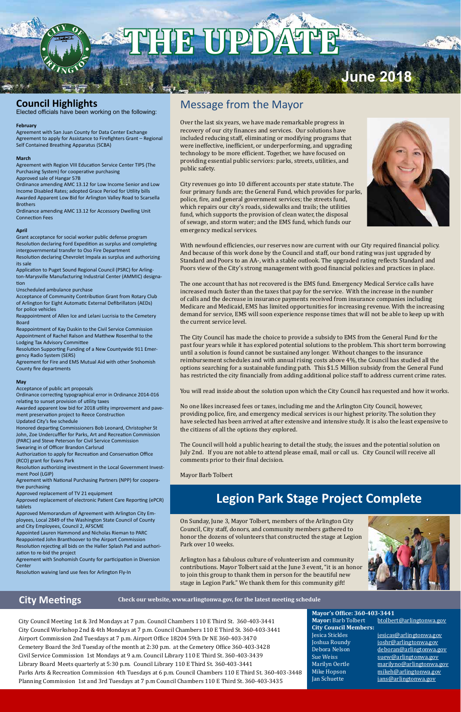## Message from the Mayor

Over the last six years, we have made remarkable progress in recovery of our city finances and services. Our solutions have included reducing staff, eliminating or modifying programs that were ineffective, inefficient, or underperforming, and upgrading technology to be more efficient. Together, we have focused on providing essential public services: parks, streets, utilities, and public safety.



City revenues go into 10 different accounts per state statute. The four primary funds are; the General Fund, which provides for parks, police, fire, and general government services; the streets fund, which repairs our city's roads, sidewalks and trails; the utilities fund, which supports the provision of clean water, the disposal of sewage, and storm water; and the EMS fund, which funds our emergency medical services.

With newfound efficiencies, our reserves now are current with our City required financial policy. And because of this work done by the Council and staff, our bond rating was just upgraded by Standard and Poors to an AA-, with a stable outlook. The upgraded rating reflects Standard and Poors view of the City's strong management with good financial policies and practices in place.

The one account that has not recovered is the EMS fund. Emergency Medical Service calls have increased much faster than the taxes that pay for the service. With the increase in the number of calls and the decrease in insurance payments received from insurance companies including Medicare and Medicaid, EMS has limited opportunities for increasing revenue. With the increasing demand for service, EMS will soon experience response times that will not be able to keep up with the current service level.

The City Council has made the choice to provide a subsidy to EMS from the General Fund for the past four years while it has explored potential solutions to the problem. This short term borrowing until a solution is found cannot be sustained any longer. Without changes to the insurance reimbursement schedules and with annual rising costs above 4%, the Council has studied all the options searching for a sustainable funding path. This \$1.5 Million subsidy from the General Fund has restricted the city financially from adding additional police staff to address current crime rates.

> **Mayor's Office: 360-403-3441** Mayor: Barb Tolbert btolbert@arlingtonwa.gov **City Council Members:** Jesica Stickles jesicas@arlingtonwa.gov Joshua Roundy joshr@arlingtonwa.gov Debora Nelson deboran@arlingtonwa.gov<br>Sue Weiss suew@arlingtonwa.gov Sue Weiss suew@arlingtonwa.gov marilyno@arlingtonwa.gov Mike Hopson mikeh@arlingtonwa.gov Jan Schuette *jans@arlingtonwa.gov*

You will read inside about the solution upon which the City Council has requested and how it works.

No one likes increased fees or taxes, including me and the Arlington City Council, however, providing police, fire, and emergency medical services is our highest priority. The solution they have selected has been arrived at after extensive and intensive study. It is also the least expensive to the citizens of all the options they explored.

The Council will hold a public hearing to detail the study, the issues and the potential solution on July 2nd. If you are not able to attend please email, mail or call us. City Council will receive all comments prior to their final decision.

Mayor Barb Tolbert

On Sunday, June 3, Mayor Tolbert, members of the Arlington City Council, City staff, donors, and community members gathered to honor the dozens of volunteers that constructed the stage at Legion Park over 10 weeks.



Arlington has a fabulous culture of volunteerism and community contributions. Mayor Tolbert said at the June 3 event, "it is an honor to join this group to thank them in person for the beautiful new stage in Legion Park." We thank them for this community gift!

City Council Meeting 1st & 3rd Mondays at 7 p.m. Council Chambers 110 E Third St. 360-403-3441 City Council Workshop 2nd & 4th Mondays at 7 p.m. Council Chambers 110 E Third St. 360-403-3441 Airport Commission 2nd Tuesdays at 7 p.m. Airport Office 18204 59th Dr NE 360-403-3470 Cemetery Board the 3rd Tuesday of the month at 2:30 p.m. at the Cemetery Office 360-403-3428 Civil Service Commission 1st Mondays at 9 a.m. Council Library 110 E Third St. 360-403-3439 Library Board Meets quarterly at 5:30 p.m. Council Library 110 E Third St. 360-403-3441 Parks Arts & Recreation Commission 4th Tuesdays at 6 p.m. Council Chambers 110 E Third St. 360-403-3448 Planning Commission 1st and 3rd Tuesdays at 7 p.m Council Chambers 110 E Third St. 360-403-3435

## **City Meetings**

## **Council Highlights**

Elected officials have been working on the following:

#### **February**

Agreement with San Juan County for Data Center Exchange Agreement to apply for Assistance to Firefighters Grant – Regional Self Contained Breathing Apparatus (SCBA)

#### **March**

Agreement with Region VIII Education Service Center TIPS (The Purchasing System) for cooperative purchasing Approved sale of Hangar 57B

Ordinance amending AMC 13.12 for Low Income Senior and Low Income Disabled Rates; adopted Grace Period for Utility bills Awarded Apparent Low Bid for Arlington Valley Road to Scarsella Brothers

Ordinance amending AMC 13.12 for Accessory Dwelling Unit Connection Fees

#### **April**

Grant acceptance for social worker public defense program Resolution declaring Ford Expedition as surplus and completing intergovernmental transfer to Oso Fire Department

Resolution declaring Chevrolet Impala as surplus and authorizing its sale

Application to Puget Sound Regional Council (PSRC) for Arlington-Marysville Manufacturing Industrial Center (AMMIC) designation

Unscheduled ambulance purchase

Acceptance of Community Contribution Grant from Rotary Club of Arlington for Eight Automatic External Defibrillators (AEDs) for police vehicles

Reappointment of Allen Ice and Lelani Lucrisia to the Cemetery Board

Reappointment of Kay Duskin to the Civil Service Commission Appointment of Rachel Ralson and Matthew Rosenthal to the Lodging Tax Advisory Committee

Resolution Supporting Funding of a New Countywide 911 Emergency Radio System (SERS)

Agreement for Fire and EMS Mutual Aid with other Snohomish County fire departments

#### **May**

Acceptance of public art proposals

Ordinance correcting typographical error in Ordinance 2014-016 relating to sunset provision of utility taxes

Awarded apparent low bid for 2018 utility improvement and pavement preservation project to Reece Construction Updated City's fee schedule

Honored departing Commissioners Bob Leonard, Christopher St John, Zoe Undercuffler for Parks, Art and Recreation Commission (PARC) and Steve Peterson for Civil Service Commission Swearing in of Officer Brandon Carlsrud

Authorization to apply for Recreation and Conservation Office (RCO) grant for Evans Park

Resolution authorizing investment in the Local Government Investment Pool (LGIP)

Agreement with National Purchasing Partners (NPP) for cooperative purchasing

Approved replacement of TV 21 equipment

Approved replacement of electronic Patient Care Reporting (ePCR) tablets

Approved Memorandum of Agreement with Arlington City Employees, Local 2849 of the Washington State Council of County and City Employees, Council 2, AFSCME

Appointed Lauren Hammond and Nicholas Rieman to PARC Reappointed John Branthoover to the Airport Commission Resolution rejecting all bids on the Haller Splash Pad and authorization to re-bid the project Agreement with Snohomish County for participation in Diversion **Center** Resolution waiving land use fees for Arlington Fly-In

**Check our website, www.arlingtonwa.gov, for the latest meeting schedule**

## **Legion Park Stage Project Complete**

# **THE UP**

# **June 2018**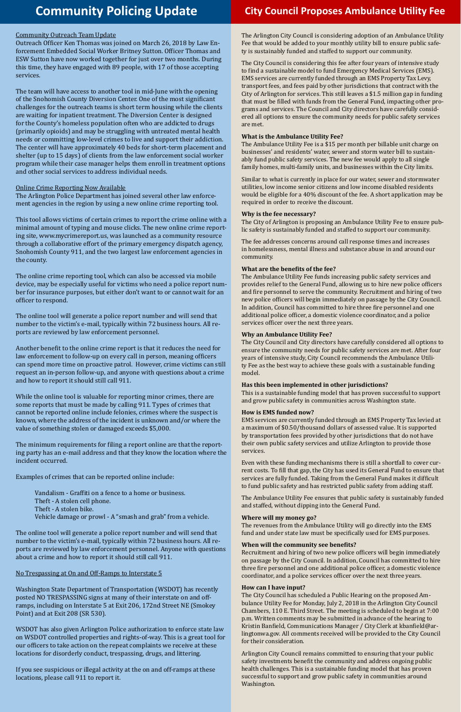## **Community Policing Update City Council Proposes Ambulance Utility Fee**

#### Community Outreach Team Update

Outreach Officer Ken Thomas was joined on March 26, 2018 by Law Enforcement Embedded Social Worker Britney Sutton. Officer Thomas and ESW Sutton have now worked together for just over two months. During this time, they have engaged with 89 people, with 17 of those accepting services.

The team will have access to another tool in mid-June with the opening of the Snohomish County Diversion Center. One of the most significant challenges for the outreach teams is short term housing while the clients are waiting for inpatient treatment. The Diversion Center is designed for the County's homeless population often who are addicted to drugs (primarily opioids) and may be struggling with untreated mental health needs or committing low-level crimes to live and support their addiction. The center will have approximately 40 beds for short-term placement and shelter (up to 15 days) of clients from the law enforcement social worker program while their case manager helps them enroll in treatment options and other social services to address individual needs.

#### Online Crime Reporting Now Available

The Arlington Police Department has joined several other law enforcement agencies in the region by using a new online crime reporting tool.

This tool allows victims of certain crimes to report the crime online with a minimal amount of typing and mouse clicks. The new online crime reporting site, www.mycrimereport.us, was launched as a community resource through a collaborative effort of the primary emergency dispatch agency, Snohomish County 911, and the two largest law enforcement agencies in the county.

The online crime reporting tool, which can also be accessed via mobile device, may be especially useful for victims who need a police report number for insurance purposes, but either don't want to or cannot wait for an officer to respond.

The online tool will generate a police report number and will send that number to the victim's e-mail, typically within 72 business hours. All reports are reviewed by law enforcement personnel.

Another benefit to the online crime report is that it reduces the need for law enforcement to follow-up on every call in person, meaning officers can spend more time on proactive patrol. However, crime victims can still request an in-person follow-up, and anyone with questions about a crime and how to report it should still call 911.

While the online tool is valuable for reporting minor crimes, there are some reports that must be made by calling 911. Types of crimes that cannot be reported online include felonies, crimes where the suspect is known, where the address of the incident is unknown and/or where the value of something stolen or damaged exceeds \$5,000.

The minimum requirements for filing a report online are that the reporting party has an e-mail address and that they know the location where the incident occurred.

Examples of crimes that can be reported online include:

Vandalism - Graffiti on a fence to a home or business. Theft - A stolen cell phone. Theft - A stolen bike. Vehicle damage or prowl - A "smash and grab" from a vehicle.

The online tool will generate a police report number and will send that number to the victim's e-mail, typically within 72 business hours. All re-

ports are reviewed by law enforcement personnel. Anyone with questions about a crime and how to report it should still call 911.

#### No Trespassing at On and Off-Ramps to Interstate 5

Washington State Department of Transportation (WSDOT) has recently posted NO TRESPASSING signs at many of their interstate on and offramps, including on Interstate 5 at Exit 206, 172nd Street NE (Smokey Point) and at Exit 208 (SR 530).

WSDOT has also given Arlington Police authorization to enforce state law on WSDOT controlled properties and rights-of-way. This is a great tool for our officers to take action on the repeat complaints we receive at these locations for disorderly conduct, trespassing, drugs, and littering.

If you see suspicious or illegal activity at the on and off-ramps at these locations, please call 911 to report it.

The Arlington City Council is considering adoption of an Ambulance Utility Fee that would be added to your monthly utility bill to ensure public safety is sustainably funded and staffed to support our community.

The City Council is considering this fee after four years of intensive study to find a sustainable model to fund Emergency Medical Services (EMS). EMS services are currently funded through an EMS Property Tax Levy, transport fees, and fees paid by other jurisdictions that contract with the City of Arlington for services. This still leaves a \$1.5 million gap in funding that must be filled with funds from the General Fund, impacting other programs and services. The Council and City directors have carefully considered all options to ensure the community needs for public safety services are met.

#### **What is the Ambulance Utility Fee?**

The Ambulance Utility Fee is a \$15 per month per billable unit charge on businesses' and residents' water, sewer and storm water bill to sustainably fund public safety services. The new fee would apply to all single family homes, multi-family units, and businesses within the City limits.

Similar to what is currently in place for our water, sewer and stormwater utilities, low income senior citizens and low income disabled residents would be eligible for a 40% discount of the fee. A short application may be required in order to receive the discount.

#### **Why is the fee necessary?**

The City of Arlington is proposing an Ambulance Utility Fee to ensure public safety is sustainably funded and staffed to support our community.

The fee addresses concerns around call response times and increases in homelessness, mental illness and substance abuse in and around our community.

### **What are the benefits of the fee?**

The Ambulance Utility Fee funds increasing public safety services and provides relief to the General Fund, allowing us to hire new police officers and fire personnel to serve the community. Recruitment and hiring of two new police officers will begin immediately on passage by the City Council. In addition, Council has committed to hire three fire personnel and one additional police officer, a domestic violence coordinator, and a police services officer over the next three years.

#### **Why an Ambulance Utility Fee?**

The City Council and City directors have carefully considered all options to ensure the community needs for public safety services are met. After four years of intensive study, City Council recommends the Ambulance Utility Fee as the best way to achieve these goals with a sustainable funding model.

#### **Has this been implemented in other jurisdictions?**

This is a sustainable funding model that has proven successful to support and grow public safety in communities across Washington state.

#### **How is EMS funded now?**

EMS services are currently funded through an EMS Property Tax levied at a maximum of \$0.50/thousand dollars of assessed value. It is supported by transportation fees provided by other jurisdictions that do not have their own public safety services and utilize Arlington to provide those services.

Even with these funding mechanisms there is still a shortfall to cover current costs. To fill that gap, the City has used its General Fund to ensure that services are fully funded. Taking from the General Fund makes it difficult to fund public safety and has restricted public safety from adding staff.

The Ambulance Utility Fee ensures that public safety is sustainably funded and staffed, without dipping into the General Fund.

#### **Where will my money go?**

The revenues from the Ambulance Utility will go directly into the EMS fund and under state law must be specifically used for EMS purposes.

#### **When will the community see benefits?**

Recruitment and hiring of two new police officers will begin immediately on passage by the City Council. In addition, Council has committed to hire three fire personnel and one additional police officer, a domestic violence coordinator, and a police services officer over the next three years.

#### **How can I have input?**

The City Council has scheduled a Public Hearing on the proposed Ambulance Utility Fee for Monday, July 2, 2018 in the Arlington City Council Chambers, 110 E. Third Street. The meeting is scheduled to begin at 7:00 p.m. Written comments may be submitted in advance of the hearing to Kristin Banfield, Communications Manager / City Clerk at kbanfield@arlingtonwa.gov. All comments received will be provided to the City Council for their consideration.

Arlington City Council remains committed to ensuring that your public safety investments benefit the community and address ongoing public health challenges. This is a sustainable funding model that has proven successful to support and grow public safety in communities around Washington.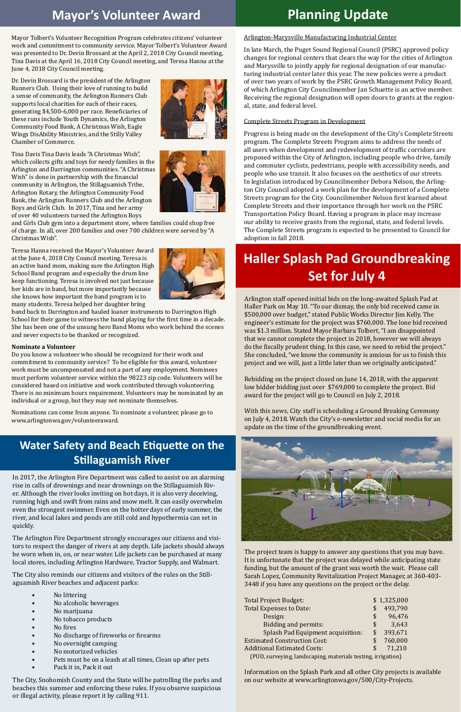## **Mayor's Volunteer Award**

## **Haller Splash Pad Groundbreaking Set for July 4**

Mayor Tolbert's Volunteer Recognition Program celebrates citizens' volunteer work and commitment to community service. Mayor Tolbert's Volunteer Award was presented to Dr. Devin Brossard at the April 2, 2018 City Council meeting, Tina Davis at the April 16, 2018 City Council meeting, and Teresa Hanna at the June 4, 2018 City Council meeting.

Dr. Devin Brossard is the president of the Arlington Runners Club. Using their love of running to build a sense of community, the Arlington Runners Club supports local charities for each of their races, generating \$4,500-6,000 per race. Beneficiaries of these runs include Youth Dynamics, the Arlington Community Food Bank, A Christmas Wish, Eagle Wings DisAbility Ministries, and the Stilly Valley Chamber of Commerce.

Tina Davis Tina Davis leads "A Christmas Wish", which collects gifts and toys for needy families in the Arlington and Darrington communities. "A Christmas Wish" is done in partnership with the financial community in Arlington, the Stillaguamish Tribe, Arlington Rotary, the Arlington Community Food Bank, the Arlington Runners Club and the Arlington Boys and Girls Club. In 2017, Tina and her army of over 40 volunteers turned the Arlington Boys

and Girls Club gym into a department store, where families could shop free of charge. In all, over 200 families and over 700 children were served by "A Christmas Wish".

Teresa Hanna received the Mayor's Volunteer Award at the June 4, 2018 City Council meeting. Teresa is an active band mom, making sure the Arlington High School Band program and especially the drum line keep functioning. Teresa is involved not just because her kids are in band, but more importantly because she knows how important the band program is to many students. Teresa helped her daughter bring

band back to Darrington and hauled loaner instruments to Darrington High School for their game to witness the band playing for the first time in a decade. She has been one of the unsung hero Band Moms who work behind the scenes and never expects to be thanked or recognized.

### **Nominate a Volunteer**

Do you know a volunteer who should be recognized for their work and commitment to community service? To be eligible for this award, volunteer work must be uncompensated and not a part of any employment. Nominees must perform volunteer service within the 98223 zip code. Volunteers will be considered based on initiative and work contributed through volunteering. There is no minimum hours requirement. Volunteers may be nominated by an individual or a group, but they may not nominate themselves.

Nominations can come from anyone. To nominate a volunteer, please go to www.arlingtonwa.gov/volunteeraward.

Arlington staff opened initial bids on the long-awaited Splash Pad at Haller Park on May 10. "To our dismay, the only bid received came in \$500,000 over budget," stated Public Works Director Jim Kelly. The engineer's estimate for the project was \$760,000. The lone bid received was \$1.3 million. Stated Mayor Barbara Tolbert, "I am disappointed that we cannot complete the project in 2018, however we will always do the fiscally prudent thing. In this case, we need to rebid the project." She concluded, "we know the community is anxious for us to finish this project and we will, just a little later than we originally anticipated."

Rebidding on the project closed on June 14, 2018, with the apparent low bidder bidding just over \$769,000 to complete the project. Bid award for the project will go to Council on July 2, 2018.

With this news, City staff is scheduling a Ground Breaking Ceremony on July 4, 2018. Watch the City's e-newsletter and social media for an update on the time of the groundbreaking event.





The project team is happy to answer any questions that you may have. It is unfortunate that the project was delayed while anticipating state funding, but the amount of the grant was worth the wait. Please call Sarah Lopez, Community Revitalization Project Manager, at 360-403- 3448 if you have any questions on the project or the delay.

| <b>Total Project Budget:</b>                                 |     | \$1,325,000 |  |
|--------------------------------------------------------------|-----|-------------|--|
| <b>Total Expenses to Date:</b>                               |     | 493,790     |  |
| Design:                                                      | S   | 96,476      |  |
| <b>Bidding and permits:</b>                                  | \$. | 3,643       |  |
| <b>Splash Pad Equipment acquisition:</b>                     | \$  | 393,671     |  |
| <b>Estimated Construction Cost:</b>                          |     | 760,000     |  |
| <b>Additional Estimated Costs:</b>                           | \$. | 71,210      |  |
| (PUD, surveying, landscaping, materials testing, irrigation) |     |             |  |

Information on the Splash Park and all other City projects is available on our website at www.arlingtonwa.gov/500/City-Projects.

In 2017, the Arlington Fire Department was called to assist on an alarming rise in calls of drownings and near drownings on the Stillaguamish River. Although the river looks inviting on hot days, it is also very deceiving, running high and swift from rains and snow melt. It can easily overwhelm even the strongest swimmer. Even on the hotter days of early summer, the river, and local lakes and ponds are still cold and hypothermia can set in quickly.

The Arlington Fire Department strongly encourages our citizens and visitors to respect the danger of rivers at any depth. Life jackets should always be worn when in, on, or near water. Life jackets can be purchased at many local stores, including Arlington Hardware, Tractor Supply, and Walmart.

The City also reminds our citizens and visitors of the rules on the Stillaguamish River beaches and adjacent parks:

- No littering
- No alcoholic beverages
- No marijuana
- No tobacco products
- No fires
- No discharge of fireworks or firearms
- No overnight camping
- No motorized vehicles
- Pets must be on a leash at all times, Clean up after pets
- Pack it in, Pack it out

The City, Snohomish County and the State will be patrolling the parks and beaches this summer and enforcing these rules. If you observe suspicious or illegal activity, please report it by calling 911.

### Arlington-Marysville Manufacturing Industrial Center

In late March, the Puget Sound Regional Council (PSRC) approved policy changes for regional centers that clears the way for the cities of Arlington and Marysville to jointly apply for regional designation of our manufacturing industrial center later this year. The new policies were a product of over two years of work by the PSRC Growth Management Policy Board, of which Arlington City Councilmember Jan Schuette is an active member. Receiving the regional designation will open doors to grants at the regional, state, and federal level.

### Complete Streets Program in Development

Progress is being made on the development of the City's Complete Streets program. The Complete Streets Program aims to address the needs of all users when development and redevelopment of traffic corridors are proposed within the City of Arlington, including people who drive, family and commuter cyclists, pedestrians, people with accessibility needs, and people who use transit. It also focuses on the aesthetics of our streets. In legislation introduced by Councilmember Debora Nelson, the Arlington City Council adopted a work plan for the development of a Complete Streets program for the City. Councilmember Nelson first learned about Complete Streets and their importance through her work on the PSRC Transportation Policy Board. Having a program in place may increase our ability to receive grants from the regional, state, and federal levels. The Complete Streets program is expected to be presented to Council for adoption in fall 2018.



## **Water Safety and Beach Etiquette on the Stillaguamish River**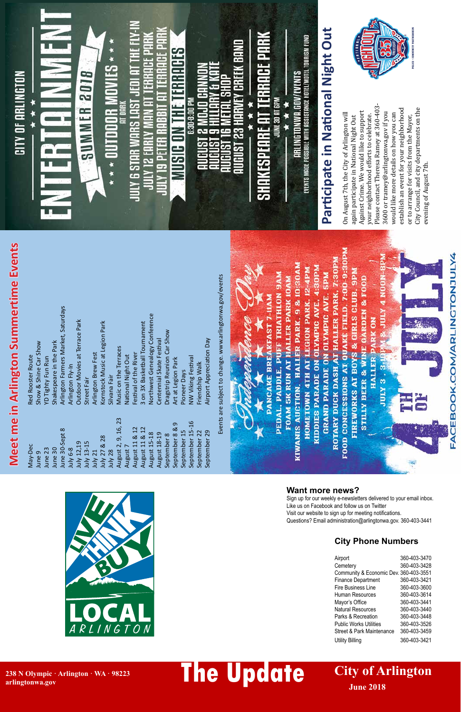## **City Phone Numbers**

FACEBOOK.COM/ARLINGTONJULY4

| Airport                                | 360-403-3470 |
|----------------------------------------|--------------|
| Cemetery                               | 360-403-3428 |
| Community & Economic Dev. 360-403-3551 |              |
| <b>Finance Department</b>              | 360-403-3421 |
| <b>Fire Business Line</b>              | 360-403-3600 |
| Human Resources                        | 360-403-3614 |
| Mayor's Office                         | 360-403-3441 |
| <b>Natural Resources</b>               | 360-403-3440 |
| Parks & Recreation                     | 360-403-3448 |
| <b>Public Works Utilities</b>          | 360-403-3526 |
| Street & Park Maintenance              | 360-403-3459 |
| Utility Billing                        | 360-403-3421 |

May-Deo

June 9



## **Want more news?**

Sign up for our weekly e-newsletters delivered to your email inbox. Like us on Facebook and follow us on Twitter Visit our website to sign up for meeting notifications.



#### PEDAL. PADDLE. PUFF TRIATHLON 9AM Events are subject to change. www.arlingtonwa.gov/events Events are subject to change. www.arlingtonwa.gov/events**PANCAKE BREAKFAST 7-11AM** Arlington Farmers Market, Saturdays June 30-Sept 8 Arlington Farmers Market, Saturdays Northwest Genealogy Conference August 15-18 Northwest Genealogy Conference Outdoor Movies at Terrace Park July 12,19 Outdoor Movies at Terrace Park Kornstock Music at Legion Park 3 on 3X Basketball Tournament July 27 & 28 Kornstock Music at Legion Park August 11 & 12 3 on 3X Basketball Tournament Dragstrip Reunion Car Show September 8 Dragstrip Reunion Car Show Centennial Skate Festival August 18-19 Centennial Skate Festival Airport Appreciation Day September 29 Airport Appreciation Day Shakespeare in the Park June 30 Shakespeare in the Park Music on the Terraces August 2, 9, 16, 23 Music on the Terraces Arlington Brew Fest July 21 Arlington Brew Fest Festival of the River August 11 & 12 Festival of the River National Night Out June 23 YD Tighty Fun Run August 7 National Night Out NW Viking Festival September 15-16 NW Viking Festival Art at Legion Park September 8 & 9 Art at Legion Park Friendship Walk Arlington Fly-In July 6-8 Arlington Fly-In September 22 Friendship Walk Pioneer Days September 15 Pioneer Days Silvana Fair July 28 Silvana Fair July 13-15 Street Fair Street Fair August 2, 9, 16, 23 September 15-16 September 8 & 9 August 11 & 12 August 11 & 12 June 30-Sept 8 September 15 September 29 September 22 August 15-18 August 18-19 September 8 July 27 & 28 July 12,19 luly 13-15 August 7 June 30 June 23 **Iuly 6-8 July 21** July 28